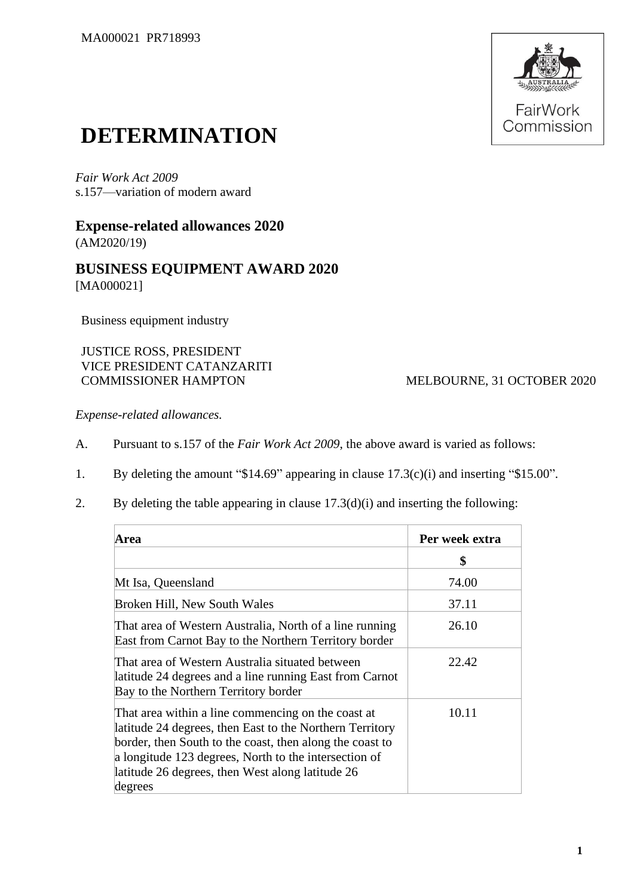

## **DETERMINATION**

*Fair Work Act 2009* s.157—variation of modern award

## **Expense-related allowances 2020** (AM2020/19)

## **BUSINESS EQUIPMENT AWARD 2020** [MA000021]

Business equipment industry

JUSTICE ROSS, PRESIDENT VICE PRESIDENT CATANZARITI

MELBOURNE, 31 OCTOBER 2020

*Expense-related allowances.*

- A. Pursuant to s.157 of the *Fair Work Act 2009*, the above award is varied as follows:
- 1. By deleting the amount "\$14.69" appearing in clause 17.3(c)(i) and inserting "\$15.00".
- 2. By deleting the table appearing in clause 17.3(d)(i) and inserting the following:

| Area                                                                                                                                                                                                                                                                                               | Per week extra |
|----------------------------------------------------------------------------------------------------------------------------------------------------------------------------------------------------------------------------------------------------------------------------------------------------|----------------|
|                                                                                                                                                                                                                                                                                                    | \$             |
| Mt Isa, Queensland                                                                                                                                                                                                                                                                                 | 74.00          |
| Broken Hill, New South Wales                                                                                                                                                                                                                                                                       | 37.11          |
| That area of Western Australia, North of a line running<br>East from Carnot Bay to the Northern Territory border                                                                                                                                                                                   | 26.10          |
| That area of Western Australia situated between<br>latitude 24 degrees and a line running East from Carnot<br>Bay to the Northern Territory border                                                                                                                                                 | 22.42          |
| That area within a line commencing on the coast at<br>latitude 24 degrees, then East to the Northern Territory<br>border, then South to the coast, then along the coast to<br>a longitude 123 degrees, North to the intersection of<br>latitude 26 degrees, then West along latitude 26<br>degrees | 10.11          |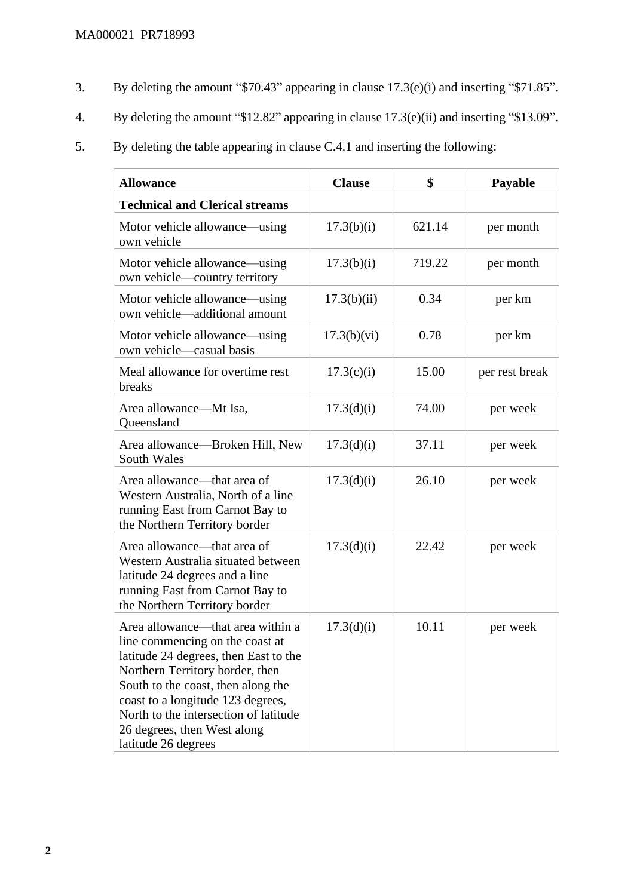- 3. By deleting the amount "\$70.43" appearing in clause 17.3(e)(i) and inserting "\$71.85".
- 4. By deleting the amount "\$12.82" appearing in clause 17.3(e)(ii) and inserting "\$13.09".
- 5. By deleting the table appearing in clause C.4.1 and inserting the following:

| <b>Allowance</b>                                                                                                                                                                                                                                                                                                           | <b>Clause</b> | \$     | Payable        |
|----------------------------------------------------------------------------------------------------------------------------------------------------------------------------------------------------------------------------------------------------------------------------------------------------------------------------|---------------|--------|----------------|
| <b>Technical and Clerical streams</b>                                                                                                                                                                                                                                                                                      |               |        |                |
| Motor vehicle allowance—using<br>own vehicle                                                                                                                                                                                                                                                                               | 17.3(b)(i)    | 621.14 | per month      |
| Motor vehicle allowance—using<br>own vehicle—country territory                                                                                                                                                                                                                                                             | 17.3(b)(i)    | 719.22 | per month      |
| Motor vehicle allowance—using<br>own vehicle—additional amount                                                                                                                                                                                                                                                             | 17.3(b)(ii)   | 0.34   | per km         |
| Motor vehicle allowance—using<br>own vehicle-casual basis                                                                                                                                                                                                                                                                  | 17.3(b)(vi)   | 0.78   | per km         |
| Meal allowance for overtime rest<br>breaks                                                                                                                                                                                                                                                                                 | 17.3(c)(i)    | 15.00  | per rest break |
| Area allowance—Mt Isa,<br>Queensland                                                                                                                                                                                                                                                                                       | 17.3(d)(i)    | 74.00  | per week       |
| Area allowance—Broken Hill, New<br>South Wales                                                                                                                                                                                                                                                                             | 17.3(d)(i)    | 37.11  | per week       |
| Area allowance—that area of<br>Western Australia, North of a line<br>running East from Carnot Bay to<br>the Northern Territory border                                                                                                                                                                                      | 17.3(d)(i)    | 26.10  | per week       |
| Area allowance—that area of<br>Western Australia situated between<br>latitude 24 degrees and a line<br>running East from Carnot Bay to<br>the Northern Territory border                                                                                                                                                    | 17.3(d)(i)    | 22.42  | per week       |
| Area allowance—that area within a<br>line commencing on the coast at<br>latitude 24 degrees, then East to the<br>Northern Territory border, then<br>South to the coast, then along the<br>coast to a longitude 123 degrees,<br>North to the intersection of latitude<br>26 degrees, then West along<br>latitude 26 degrees | 17.3(d)(i)    | 10.11  | per week       |